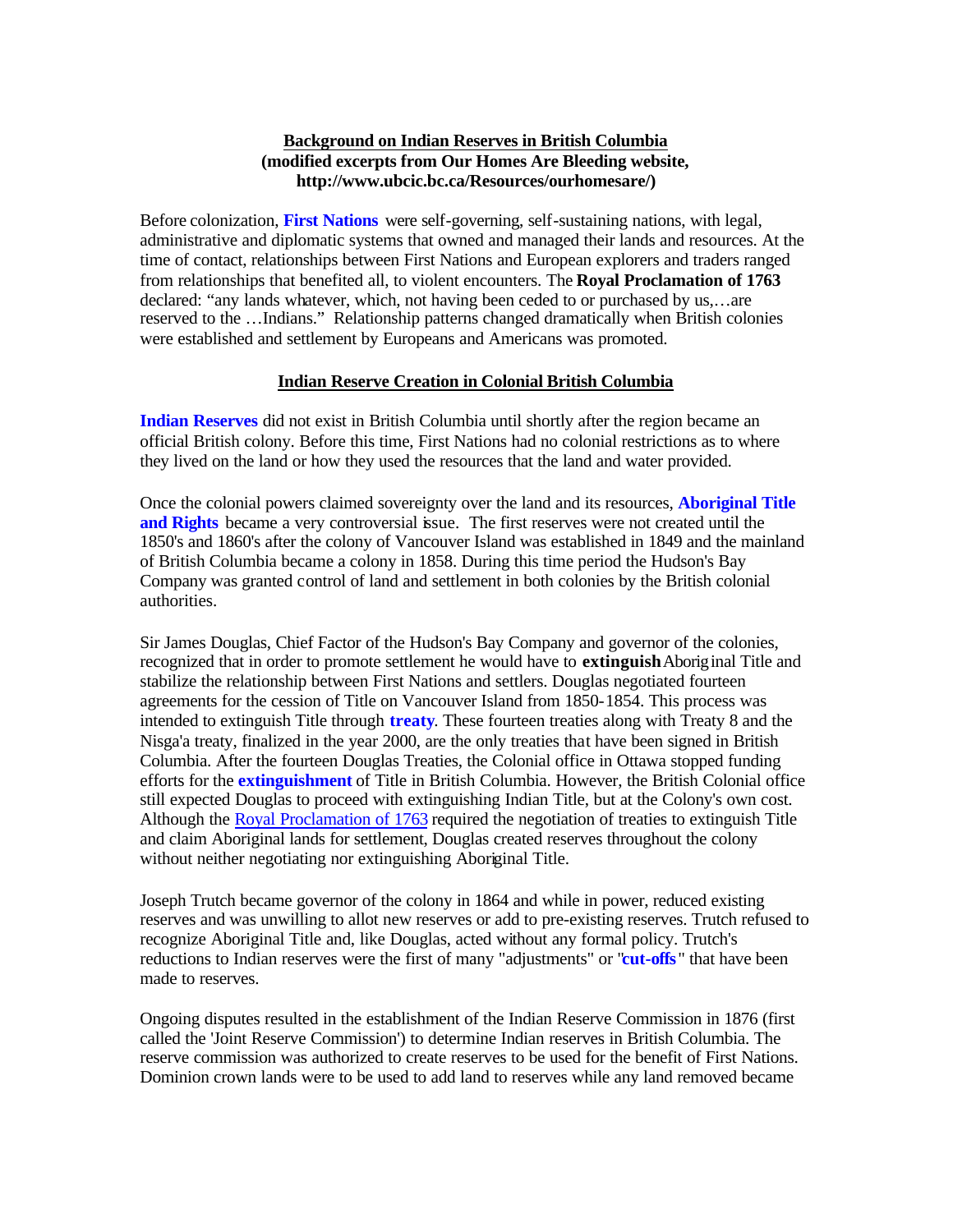## **Background on Indian Reserves in British Columbia (modified excerpts from Our Homes Are Bleeding website, http://www.ubcic.bc.ca/Resources/ourhomesare/)**

Before colonization, **First Nations** were self-governing, self-sustaining nations, with legal, administrative and diplomatic systems that owned and managed their lands and resources. At the time of contact, relationships between First Nations and European explorers and traders ranged from relationships that benefited all, to violent encounters. The **Royal Proclamation of 1763** declared: "any lands whatever, which, not having been ceded to or purchased by us,…are reserved to the …Indians." Relationship patterns changed dramatically when British colonies were established and settlement by Europeans and Americans was promoted.

## **Indian Reserve Creation in Colonial British Columbia**

**Indian Reserves** did not exist in British Columbia until shortly after the region became an official British colony. Before this time, First Nations had no colonial restrictions as to where they lived on the land or how they used the resources that the land and water provided.

Once the colonial powers claimed sovereignty over the land and its resources, **Aboriginal Title and Rights** became a very controversial issue. The first reserves were not created until the 1850's and 1860's after the colony of Vancouver Island was established in 1849 and the mainland of British Columbia became a colony in 1858. During this time period the Hudson's Bay Company was granted control of land and settlement in both colonies by the British colonial authorities.

Sir James Douglas, Chief Factor of the Hudson's Bay Company and governor of the colonies, recognized that in order to promote settlement he would have to **extinguish** Aboriginal Title and stabilize the relationship between First Nations and settlers. Douglas negotiated fourteen agreements for the cession of Title on Vancouver Island from 1850-1854. This process was intended to extinguish Title through **treaty**. These fourteen treaties along with Treaty 8 and the Nisga'a treaty, finalized in the year 2000, are the only treaties that have been signed in British Columbia. After the fourteen Douglas Treaties, the Colonial office in Ottawa stopped funding efforts for the **extinguishment** of Title in British Columbia. However, the British Colonial office still expected Douglas to proceed with extinguishing Indian Title, but at the Colony's own cost. Although the Royal Proclamation of 1763 required the negotiation of treaties to extinguish Title and claim Aboriginal lands for settlement, Douglas created reserves throughout the colony without neither negotiating nor extinguishing Aboriginal Title.

Joseph Trutch became governor of the colony in 1864 and while in power, reduced existing reserves and was unwilling to allot new reserves or add to pre-existing reserves. Trutch refused to recognize Aboriginal Title and, like Douglas, acted without any formal policy. Trutch's reductions to Indian reserves were the first of many "adjustments" or "**cut-offs**" that have been made to reserves.

Ongoing disputes resulted in the establishment of the Indian Reserve Commission in 1876 (first called the 'Joint Reserve Commission') to determine Indian reserves in British Columbia. The reserve commission was authorized to create reserves to be used for the benefit of First Nations. Dominion crown lands were to be used to add land to reserves while any land removed became